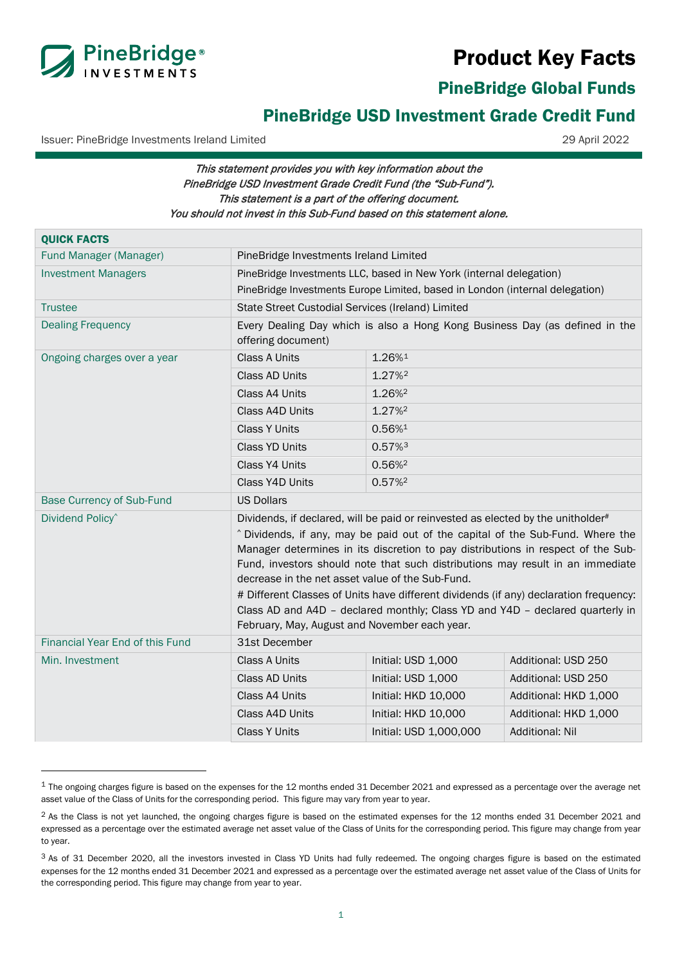# Product Key Facts



PineBridge Global Funds

# PineBridge USD Investment Grade Credit Fund

Issuer: PineBridge Investments Ireland Limited 29 April 2022

# This statement provides you with key information about the PineBridge USD Investment Grade Credit Fund (the "Sub-Fund"). This statement is a part of the offering document. You should not invest in this Sub-Fund based on this statement alone.

| <b>QUICK FACTS</b>               |                                                                                                                                                                    |                        |                        |
|----------------------------------|--------------------------------------------------------------------------------------------------------------------------------------------------------------------|------------------------|------------------------|
| Fund Manager (Manager)           | PineBridge Investments Ireland Limited                                                                                                                             |                        |                        |
| <b>Investment Managers</b>       | PineBridge Investments LLC, based in New York (internal delegation)<br>PineBridge Investments Europe Limited, based in London (internal delegation)                |                        |                        |
|                                  |                                                                                                                                                                    |                        |                        |
| <b>Trustee</b>                   | State Street Custodial Services (Ireland) Limited                                                                                                                  |                        |                        |
| <b>Dealing Frequency</b>         | Every Dealing Day which is also a Hong Kong Business Day (as defined in the<br>offering document)                                                                  |                        |                        |
| Ongoing charges over a year      | <b>Class A Units</b>                                                                                                                                               | 1.26%1                 |                        |
|                                  | Class AD Units                                                                                                                                                     | 1.27% <sup>2</sup>     |                        |
|                                  | Class A4 Units                                                                                                                                                     | 1.26% <sup>2</sup>     |                        |
|                                  | Class A4D Units                                                                                                                                                    | 1.27% <sup>2</sup>     |                        |
|                                  | <b>Class Y Units</b>                                                                                                                                               | 0.56%1                 |                        |
|                                  | <b>Class YD Units</b>                                                                                                                                              | 0.57%3                 |                        |
|                                  | Class Y4 Units                                                                                                                                                     | 0.56% <sup>2</sup>     |                        |
|                                  | Class Y4D Units                                                                                                                                                    | 0.57%                  |                        |
| <b>Base Currency of Sub-Fund</b> | <b>US Dollars</b>                                                                                                                                                  |                        |                        |
| Dividend Policy <sup>^</sup>     | Dividends, if declared, will be paid or reinvested as elected by the unitholder#                                                                                   |                        |                        |
|                                  | ^ Dividends, if any, may be paid out of the capital of the Sub-Fund. Where the<br>Manager determines in its discretion to pay distributions in respect of the Sub- |                        |                        |
|                                  | Fund, investors should note that such distributions may result in an immediate                                                                                     |                        |                        |
|                                  | decrease in the net asset value of the Sub-Fund.                                                                                                                   |                        |                        |
|                                  | # Different Classes of Units have different dividends (if any) declaration frequency:                                                                              |                        |                        |
|                                  | Class AD and A4D - declared monthly; Class YD and Y4D - declared quarterly in                                                                                      |                        |                        |
|                                  | February, May, August and November each year.                                                                                                                      |                        |                        |
| Financial Year End of this Fund  | 31st December                                                                                                                                                      |                        |                        |
| Min. Investment                  | <b>Class A Units</b>                                                                                                                                               | Initial: USD 1,000     | Additional: USD 250    |
|                                  | Class AD Units                                                                                                                                                     | Initial: USD 1,000     | Additional: USD 250    |
|                                  | Class A4 Units                                                                                                                                                     | Initial: HKD 10,000    | Additional: HKD 1,000  |
|                                  | Class A4D Units                                                                                                                                                    | Initial: HKD 10,000    | Additional: HKD 1,000  |
|                                  | <b>Class Y Units</b>                                                                                                                                               | Initial: USD 1,000,000 | <b>Additional: Nil</b> |

<span id="page-0-0"></span><sup>&</sup>lt;sup>1</sup> The ongoing charges figure is based on the expenses for the 12 months ended 31 December 2021 and expressed as a percentage over the average net asset value of the Class of Units for the corresponding period. This figure may vary from year to year.

<span id="page-0-1"></span><sup>&</sup>lt;sup>2</sup> As the Class is not yet launched, the ongoing charges figure is based on the estimated expenses for the 12 months ended 31 December 2021 and expressed as a percentage over the estimated average net asset value of the Class of Units for the corresponding period. This figure may change from year to year.

<span id="page-0-2"></span><sup>&</sup>lt;sup>3</sup> As of 31 December 2020, all the investors invested in Class YD Units had fully redeemed. The ongoing charges figure is based on the estimated expenses for the 12 months ended 31 December 2021 and expressed as a percentage over the estimated average net asset value of the Class of Units for the corresponding period. This figure may change from year to year.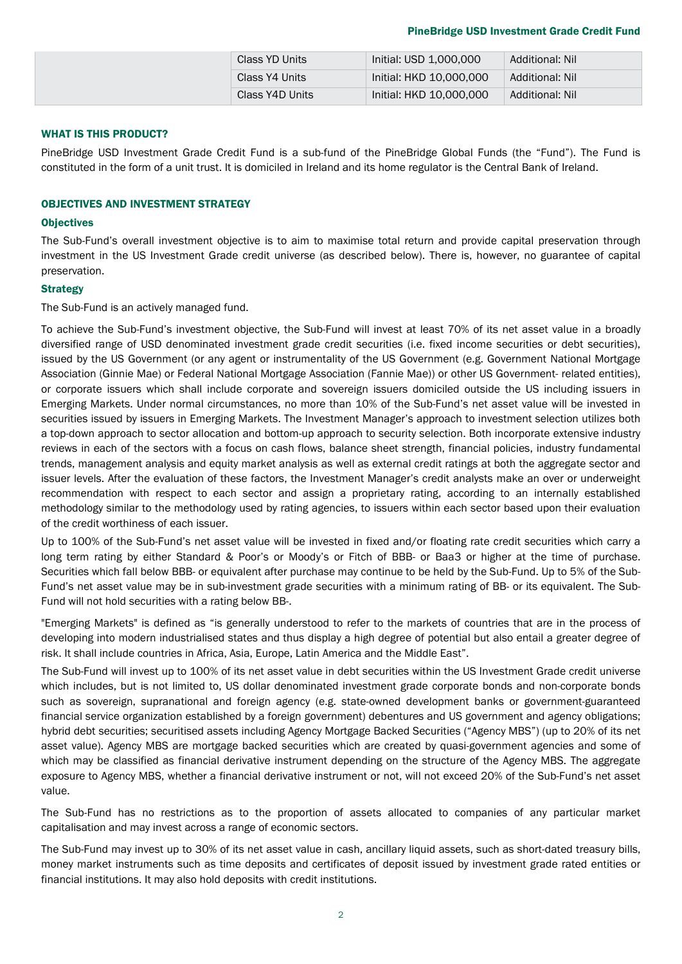#### PineBridge USD Investment Grade Credit Fund

|  | Class YD Units  | Initial: USD 1,000,000  | Additional: Nil |
|--|-----------------|-------------------------|-----------------|
|  | Class Y4 Units  | Initial: HKD 10,000,000 | Additional: Nil |
|  | Class Y4D Units | Initial: HKD 10,000,000 | Additional: Nil |

#### WHAT IS THIS PRODUCT?

PineBridge USD Investment Grade Credit Fund is a sub-fund of the PineBridge Global Funds (the "Fund"). The Fund is constituted in the form of a unit trust. It is domiciled in Ireland and its home regulator is the Central Bank of Ireland.

#### OBJECTIVES AND INVESTMENT STRATEGY

#### **Objectives**

The Sub-Fund's overall investment objective is to aim to maximise total return and provide capital preservation through investment in the US Investment Grade credit universe (as described below). There is, however, no guarantee of capital preservation.

#### **Strategy**

The Sub-Fund is an actively managed fund.

To achieve the Sub-Fund's investment objective, the Sub-Fund will invest at least 70% of its net asset value in a broadly diversified range of USD denominated investment grade credit securities (i.e. fixed income securities or debt securities), issued by the US Government (or any agent or instrumentality of the US Government (e.g. Government National Mortgage Association (Ginnie Mae) or Federal National Mortgage Association (Fannie Mae)) or other US Government- related entities), or corporate issuers which shall include corporate and sovereign issuers domiciled outside the US including issuers in Emerging Markets. Under normal circumstances, no more than 10% of the Sub-Fund's net asset value will be invested in securities issued by issuers in Emerging Markets. The Investment Manager's approach to investment selection utilizes both a top-down approach to sector allocation and bottom-up approach to security selection. Both incorporate extensive industry reviews in each of the sectors with a focus on cash flows, balance sheet strength, financial policies, industry fundamental trends, management analysis and equity market analysis as well as external credit ratings at both the aggregate sector and issuer levels. After the evaluation of these factors, the Investment Manager's credit analysts make an over or underweight recommendation with respect to each sector and assign a proprietary rating, according to an internally established methodology similar to the methodology used by rating agencies, to issuers within each sector based upon their evaluation of the credit worthiness of each issuer.

Up to 100% of the Sub-Fund's net asset value will be invested in fixed and/or floating rate credit securities which carry a long term rating by either Standard & Poor's or Moody's or Fitch of BBB- or Baa3 or higher at the time of purchase. Securities which fall below BBB- or equivalent after purchase may continue to be held by the Sub-Fund. Up to 5% of the Sub-Fund's net asset value may be in sub-investment grade securities with a minimum rating of BB- or its equivalent. The Sub-Fund will not hold securities with a rating below BB-.

"Emerging Markets" is defined as "is generally understood to refer to the markets of countries that are in the process of developing into modern industrialised states and thus display a high degree of potential but also entail a greater degree of risk. It shall include countries in Africa, Asia, Europe, Latin America and the Middle East".

The Sub-Fund will invest up to 100% of its net asset value in debt securities within the US Investment Grade credit universe which includes, but is not limited to, US dollar denominated investment grade corporate bonds and non-corporate bonds such as sovereign, supranational and foreign agency (e.g. state-owned development banks or government-guaranteed financial service organization established by a foreign government) debentures and US government and agency obligations; hybrid debt securities; securitised assets including Agency Mortgage Backed Securities ("Agency MBS") (up to 20% of its net asset value). Agency MBS are mortgage backed securities which are created by quasi-government agencies and some of which may be classified as financial derivative instrument depending on the structure of the Agency MBS. The aggregate exposure to Agency MBS, whether a financial derivative instrument or not, will not exceed 20% of the Sub-Fund's net asset value.

The Sub-Fund has no restrictions as to the proportion of assets allocated to companies of any particular market capitalisation and may invest across a range of economic sectors.

The Sub-Fund may invest up to 30% of its net asset value in cash, ancillary liquid assets, such as short-dated treasury bills, money market instruments such as time deposits and certificates of deposit issued by investment grade rated entities or financial institutions. It may also hold deposits with credit institutions.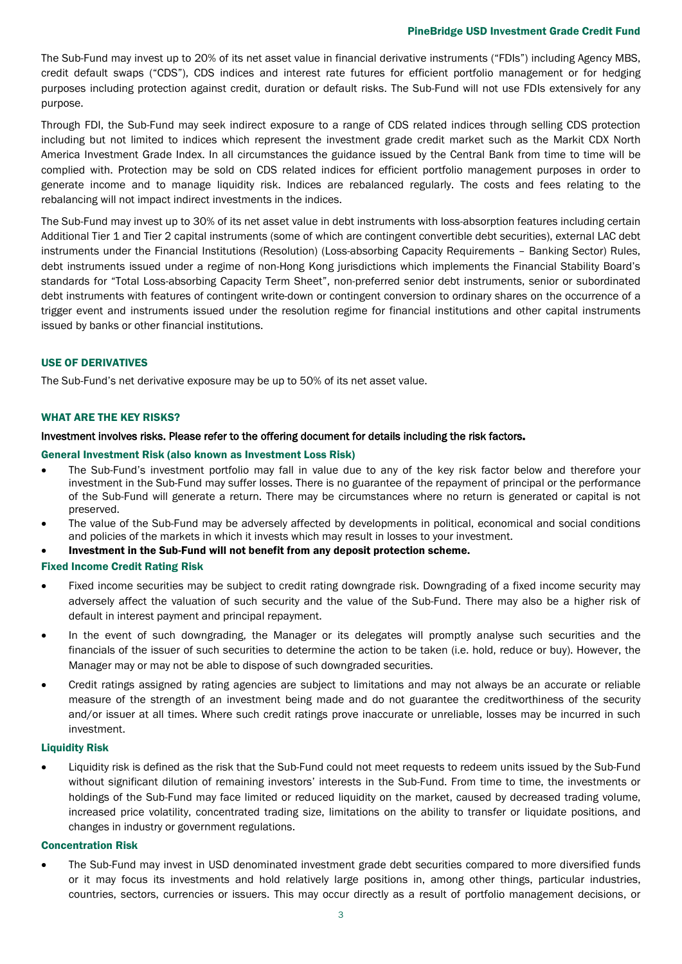#### PineBridge USD Investment Grade Credit Fund

The Sub-Fund may invest up to 20% of its net asset value in financial derivative instruments ("FDIs") including Agency MBS, credit default swaps ("CDS"), CDS indices and interest rate futures for efficient portfolio management or for hedging purposes including protection against credit, duration or default risks. The Sub-Fund will not use FDIs extensively for any purpose.

Through FDI, the Sub-Fund may seek indirect exposure to a range of CDS related indices through selling CDS protection including but not limited to indices which represent the investment grade credit market such as the Markit CDX North America Investment Grade Index. In all circumstances the guidance issued by the Central Bank from time to time will be complied with. Protection may be sold on CDS related indices for efficient portfolio management purposes in order to generate income and to manage liquidity risk. Indices are rebalanced regularly. The costs and fees relating to the rebalancing will not impact indirect investments in the indices.

The Sub-Fund may invest up to 30% of its net asset value in debt instruments with loss-absorption features including certain Additional Tier 1 and Tier 2 capital instruments (some of which are contingent convertible debt securities), external LAC debt instruments under the Financial Institutions (Resolution) (Loss-absorbing Capacity Requirements – Banking Sector) Rules, debt instruments issued under a regime of non-Hong Kong jurisdictions which implements the Financial Stability Board's standards for "Total Loss-absorbing Capacity Term Sheet", non-preferred senior debt instruments, senior or subordinated debt instruments with features of contingent write-down or contingent conversion to ordinary shares on the occurrence of a trigger event and instruments issued under the resolution regime for financial institutions and other capital instruments issued by banks or other financial institutions.

#### USE OF DERIVATIVES

The Sub-Fund's net derivative exposure may be up to 50% of its net asset value.

#### WHAT ARE THE KEY RISKS?

#### Investment involves risks. Please refer to the offering document for details including the risk factors.

#### General Investment Risk (also known as Investment Loss Risk)

- The Sub-Fund's investment portfolio may fall in value due to any of the key risk factor below and therefore your investment in the Sub-Fund may suffer losses. There is no guarantee of the repayment of principal or the performance of the Sub-Fund will generate a return. There may be circumstances where no return is generated or capital is not preserved.
- The value of the Sub-Fund may be adversely affected by developments in political, economical and social conditions and policies of the markets in which it invests which may result in losses to your investment.
- Investment in the Sub-Fund will not benefit from any deposit protection scheme.

#### Fixed Income Credit Rating Risk

- Fixed income securities may be subject to credit rating downgrade risk. Downgrading of a fixed income security may adversely affect the valuation of such security and the value of the Sub-Fund. There may also be a higher risk of default in interest payment and principal repayment.
- In the event of such downgrading, the Manager or its delegates will promptly analyse such securities and the financials of the issuer of such securities to determine the action to be taken (i.e. hold, reduce or buy). However, the Manager may or may not be able to dispose of such downgraded securities.
- Credit ratings assigned by rating agencies are subject to limitations and may not always be an accurate or reliable measure of the strength of an investment being made and do not guarantee the creditworthiness of the security and/or issuer at all times. Where such credit ratings prove inaccurate or unreliable, losses may be incurred in such investment.

#### Liquidity Risk

• Liquidity risk is defined as the risk that the Sub-Fund could not meet requests to redeem units issued by the Sub-Fund without significant dilution of remaining investors' interests in the Sub-Fund. From time to time, the investments or holdings of the Sub-Fund may face limited or reduced liquidity on the market, caused by decreased trading volume, increased price volatility, concentrated trading size, limitations on the ability to transfer or liquidate positions, and changes in industry or government regulations.

#### Concentration Risk

• The Sub-Fund may invest in USD denominated investment grade debt securities compared to more diversified funds or it may focus its investments and hold relatively large positions in, among other things, particular industries, countries, sectors, currencies or issuers. This may occur directly as a result of portfolio management decisions, or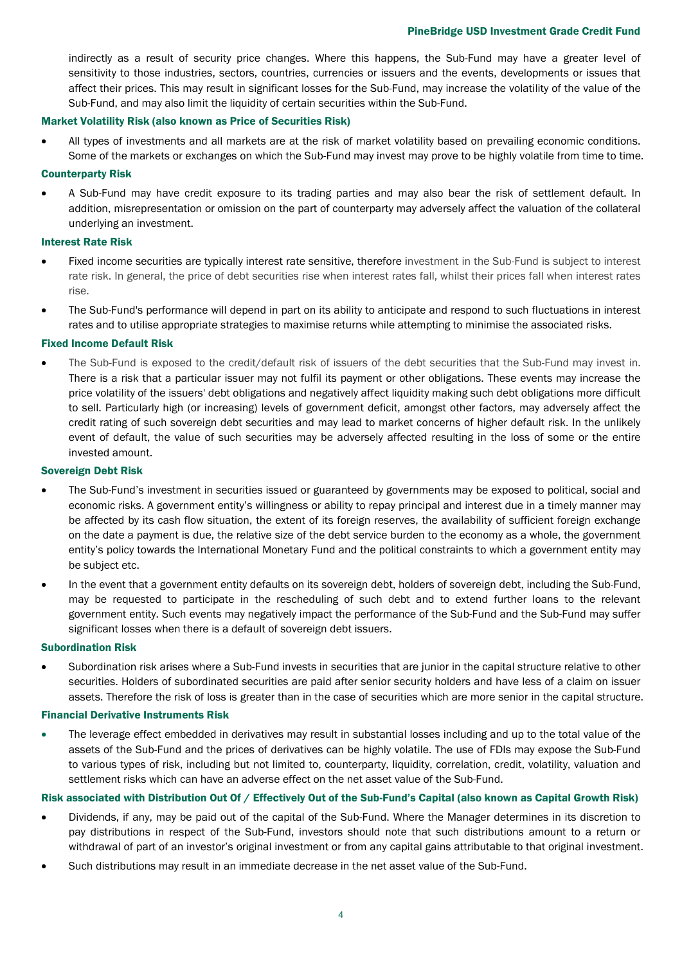#### PineBridge USD Investment Grade Credit Fund

indirectly as a result of security price changes. Where this happens, the Sub-Fund may have a greater level of sensitivity to those industries, sectors, countries, currencies or issuers and the events, developments or issues that affect their prices. This may result in significant losses for the Sub-Fund, may increase the volatility of the value of the Sub-Fund, and may also limit the liquidity of certain securities within the Sub-Fund.

#### Market Volatility Risk (also known as Price of Securities Risk)

• All types of investments and all markets are at the risk of market volatility based on prevailing economic conditions. Some of the markets or exchanges on which the Sub-Fund may invest may prove to be highly volatile from time to time.

#### Counterparty Risk

• A Sub-Fund may have credit exposure to its trading parties and may also bear the risk of settlement default. In addition, misrepresentation or omission on the part of counterparty may adversely affect the valuation of the collateral underlying an investment.

#### Interest Rate Risk

- Fixed income securities are typically interest rate sensitive, therefore investment in the Sub-Fund is subject to interest rate risk. In general, the price of debt securities rise when interest rates fall, whilst their prices fall when interest rates rise.
- The Sub-Fund's performance will depend in part on its ability to anticipate and respond to such fluctuations in interest rates and to utilise appropriate strategies to maximise returns while attempting to minimise the associated risks.

#### Fixed Income Default Risk

• The Sub-Fund is exposed to the credit/default risk of issuers of the debt securities that the Sub-Fund may invest in. There is a risk that a particular issuer may not fulfil its payment or other obligations. These events may increase the price volatility of the issuers' debt obligations and negatively affect liquidity making such debt obligations more difficult to sell. Particularly high (or increasing) levels of government deficit, amongst other factors, may adversely affect the credit rating of such sovereign debt securities and may lead to market concerns of higher default risk. In the unlikely event of default, the value of such securities may be adversely affected resulting in the loss of some or the entire invested amount.

#### Sovereign Debt Risk

- The Sub-Fund's investment in securities issued or guaranteed by governments may be exposed to political, social and economic risks. A government entity's willingness or ability to repay principal and interest due in a timely manner may be affected by its cash flow situation, the extent of its foreign reserves, the availability of sufficient foreign exchange on the date a payment is due, the relative size of the debt service burden to the economy as a whole, the government entity's policy towards the International Monetary Fund and the political constraints to which a government entity may be subject etc.
- In the event that a government entity defaults on its sovereign debt, holders of sovereign debt, including the Sub-Fund, may be requested to participate in the rescheduling of such debt and to extend further loans to the relevant government entity. Such events may negatively impact the performance of the Sub-Fund and the Sub-Fund may suffer significant losses when there is a default of sovereign debt issuers.

#### Subordination Risk

• Subordination risk arises where a Sub-Fund invests in securities that are junior in the capital structure relative to other securities. Holders of subordinated securities are paid after senior security holders and have less of a claim on issuer assets. Therefore the risk of loss is greater than in the case of securities which are more senior in the capital structure.

#### Financial Derivative Instruments Risk

• The leverage effect embedded in derivatives may result in substantial losses including and up to the total value of the assets of the Sub-Fund and the prices of derivatives can be highly volatile. The use of FDIs may expose the Sub-Fund to various types of risk, including but not limited to, counterparty, liquidity, correlation, credit, volatility, valuation and settlement risks which can have an adverse effect on the net asset value of the Sub-Fund.

#### Risk associated with Distribution Out Of / Effectively Out of the Sub-Fund's Capital (also known as Capital Growth Risk)

- Dividends, if any, may be paid out of the capital of the Sub-Fund. Where the Manager determines in its discretion to pay distributions in respect of the Sub-Fund, investors should note that such distributions amount to a return or withdrawal of part of an investor's original investment or from any capital gains attributable to that original investment.
- Such distributions may result in an immediate decrease in the net asset value of the Sub-Fund.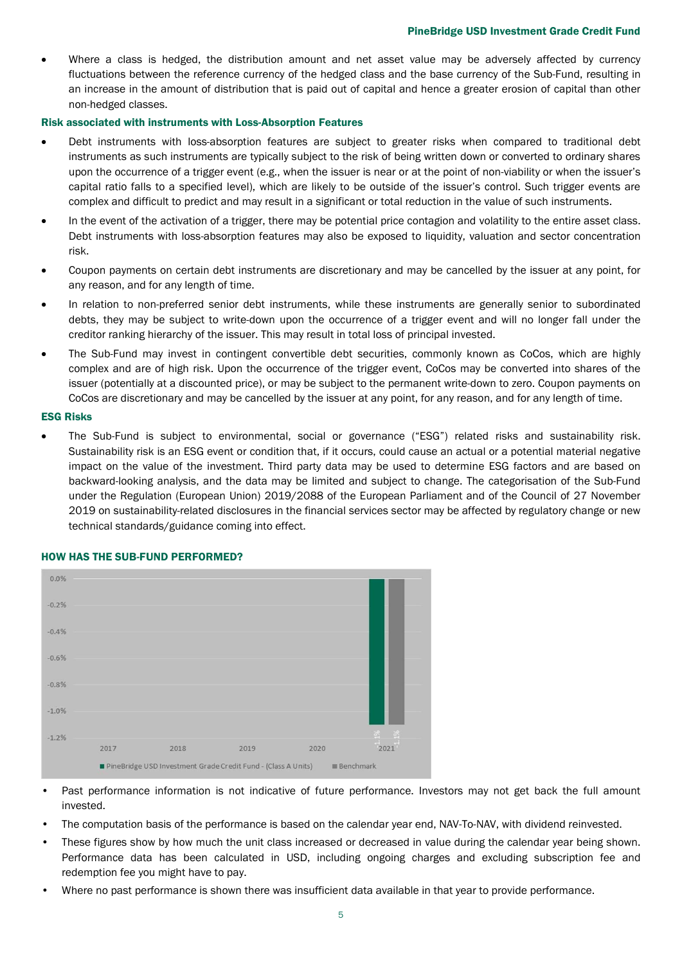Where a class is hedged, the distribution amount and net asset value may be adversely affected by currency fluctuations between the reference currency of the hedged class and the base currency of the Sub-Fund, resulting in an increase in the amount of distribution that is paid out of capital and hence a greater erosion of capital than other non-hedged classes.

#### Risk associated with instruments with Loss-Absorption Features

- Debt instruments with loss-absorption features are subject to greater risks when compared to traditional debt instruments as such instruments are typically subject to the risk of being written down or converted to ordinary shares upon the occurrence of a trigger event (e.g., when the issuer is near or at the point of non-viability or when the issuer's capital ratio falls to a specified level), which are likely to be outside of the issuer's control. Such trigger events are complex and difficult to predict and may result in a significant or total reduction in the value of such instruments.
- In the event of the activation of a trigger, there may be potential price contagion and volatility to the entire asset class. Debt instruments with loss-absorption features may also be exposed to liquidity, valuation and sector concentration risk.
- Coupon payments on certain debt instruments are discretionary and may be cancelled by the issuer at any point, for any reason, and for any length of time.
- In relation to non-preferred senior debt instruments, while these instruments are generally senior to subordinated debts, they may be subject to write-down upon the occurrence of a trigger event and will no longer fall under the creditor ranking hierarchy of the issuer. This may result in total loss of principal invested.
- The Sub-Fund may invest in contingent convertible debt securities, commonly known as CoCos, which are highly complex and are of high risk. Upon the occurrence of the trigger event, CoCos may be converted into shares of the issuer (potentially at a discounted price), or may be subject to the permanent write-down to zero. Coupon payments on CoCos are discretionary and may be cancelled by the issuer at any point, for any reason, and for any length of time.

#### ESG Risks

• The Sub-Fund is subject to environmental, social or governance ("ESG") related risks and sustainability risk. Sustainability risk is an ESG event or condition that, if it occurs, could cause an actual or a potential material negative impact on the value of the investment. Third party data may be used to determine ESG factors and are based on backward-looking analysis, and the data may be limited and subject to change. The categorisation of the Sub-Fund under the Regulation (European Union) 2019/2088 of the European Parliament and of the Council of 27 November 2019 on sustainability-related disclosures in the financial services sector may be affected by regulatory change or new technical standards/guidance coming into effect.



#### HOW HAS THE SUB-FUND PERFORMED?

- Past performance information is not indicative of future performance. Investors may not get back the full amount invested.
- The computation basis of the performance is based on the calendar year end, NAV-To-NAV, with dividend reinvested.
- These figures show by how much the unit class increased or decreased in value during the calendar year being shown. Performance data has been calculated in USD, including ongoing charges and excluding subscription fee and redemption fee you might have to pay.
- Where no past performance is shown there was insufficient data available in that year to provide performance.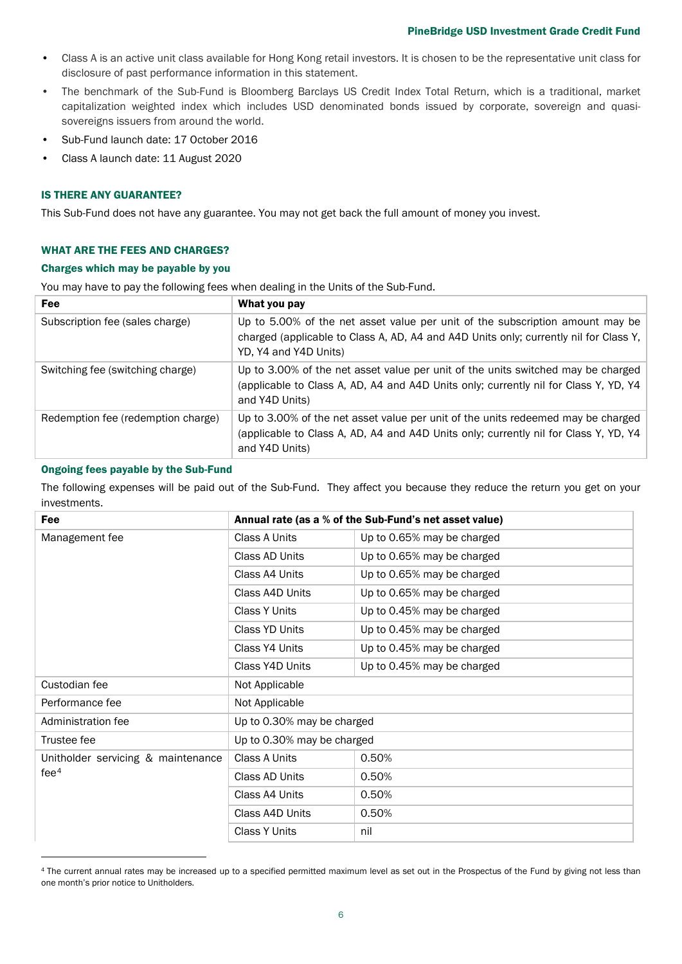- Class A is an active unit class available for Hong Kong retail investors. It is chosen to be the representative unit class for disclosure of past performance information in this statement.
- The benchmark of the Sub-Fund is Bloomberg Barclays US Credit Index Total Return, which is a traditional, market capitalization weighted index which includes USD denominated bonds issued by corporate, sovereign and quasisovereigns issuers from around the world.
- Sub-Fund launch date: 17 October 2016
- Class A launch date: 11 August 2020

#### IS THERE ANY GUARANTEE?

This Sub-Fund does not have any guarantee. You may not get back the full amount of money you invest.

#### WHAT ARE THE FEES AND CHARGES?

#### Charges which may be payable by you

You may have to pay the following fees when dealing in the Units of the Sub-Fund.

| <b>Fee</b>                         | What you pay                                                                                                                                                                                    |
|------------------------------------|-------------------------------------------------------------------------------------------------------------------------------------------------------------------------------------------------|
| Subscription fee (sales charge)    | Up to 5.00% of the net asset value per unit of the subscription amount may be<br>charged (applicable to Class A, AD, A4 and A4D Units only; currently nil for Class Y,<br>YD, Y4 and Y4D Units) |
| Switching fee (switching charge)   | Up to 3.00% of the net asset value per unit of the units switched may be charged<br>(applicable to Class A, AD, A4 and A4D Units only; currently nil for Class Y, YD, Y4<br>and Y4D Units)      |
| Redemption fee (redemption charge) | Up to 3.00% of the net asset value per unit of the units redeemed may be charged<br>(applicable to Class A, AD, A4 and A4D Units only; currently nil for Class Y, YD, Y4<br>and Y4D Units)      |

# Ongoing fees payable by the Sub-Fund

The following expenses will be paid out of the Sub-Fund. They affect you because they reduce the return you get on your investments.

| Annual rate (as a % of the Sub-Fund's net asset value) |                            |
|--------------------------------------------------------|----------------------------|
| Class A Units                                          | Up to 0.65% may be charged |
| Class AD Units                                         | Up to 0.65% may be charged |
| Class A4 Units                                         | Up to 0.65% may be charged |
| Class A4D Units                                        | Up to 0.65% may be charged |
| <b>Class Y Units</b>                                   | Up to 0.45% may be charged |
| Class YD Units                                         | Up to 0.45% may be charged |
| Class Y4 Units                                         | Up to 0.45% may be charged |
| Class Y4D Units                                        | Up to 0.45% may be charged |
| Not Applicable                                         |                            |
| Not Applicable                                         |                            |
| Up to 0.30% may be charged                             |                            |
| Up to 0.30% may be charged                             |                            |
| Class A Units                                          | 0.50%                      |
| Class AD Units                                         | 0.50%                      |
| Class A4 Units                                         | 0.50%                      |
| Class A4D Units                                        | 0.50%                      |
| <b>Class Y Units</b>                                   | nil                        |
|                                                        |                            |

<span id="page-5-0"></span><sup>&</sup>lt;sup>4</sup> The current annual rates may be increased up to a specified permitted maximum level as set out in the Prospectus of the Fund by giving not less than one month's prior notice to Unitholders.